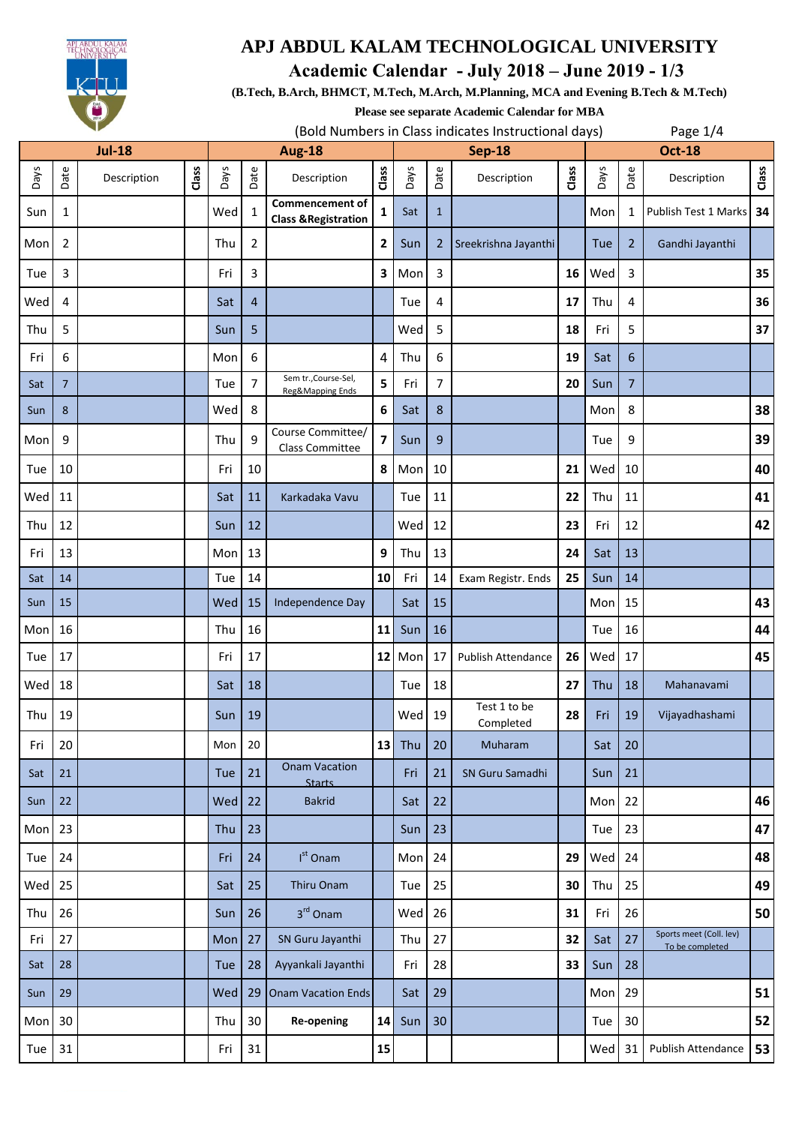

 **Academic Calendar - July 2018 – June 2019 - 1/3**

**(B.Tech, B.Arch, BHMCT, M.Tech, M.Arch, M.Planning, MCA and Evening B.Tech & M.Tech)**

**Please see separate Academic Calendar for MBA**

|               |                | ◡           |       |               |                |                                                           |                         |        | (Bold Numbers in Class indicates Instructional days) |                           |               |        |                | Page $1/4$                                 |       |  |  |  |
|---------------|----------------|-------------|-------|---------------|----------------|-----------------------------------------------------------|-------------------------|--------|------------------------------------------------------|---------------------------|---------------|--------|----------------|--------------------------------------------|-------|--|--|--|
| <b>Jul-18</b> |                |             |       | <b>Aug-18</b> |                |                                                           |                         |        | <b>Sep-18</b>                                        |                           | <b>Oct-18</b> |        |                |                                            |       |  |  |  |
| Days          | Date           | Description | Class | Days          | Date           | Description                                               | Class                   | Days   | Date                                                 | Description               | Class         | Days   | Date           | Description                                | Class |  |  |  |
| Sun           | 1              |             |       | Wed           | $\mathbf{1}$   | <b>Commencement of</b><br><b>Class &amp; Registration</b> | 1                       | Sat    | $\mathbf{1}$                                         |                           |               | Mon    | 1              | <b>Publish Test 1 Marks</b>                | 34    |  |  |  |
| Mon           | 2              |             |       | Thu           | $\overline{2}$ |                                                           | $\mathbf{2}$            | Sun    | 2                                                    | Sreekrishna Jayanthi      |               | Tue    | $\overline{2}$ | Gandhi Jayanthi                            |       |  |  |  |
| Tue           | 3              |             |       | Fri           | 3              |                                                           | 3                       | Mon    | 3                                                    |                           | 16            | Wed    | 3              |                                            | 35    |  |  |  |
| Wed           | 4              |             |       | Sat           | $\overline{4}$ |                                                           |                         | Tue    | 4                                                    |                           | 17            | Thu    | 4              |                                            | 36    |  |  |  |
| Thu           | 5              |             |       | Sun           | 5              |                                                           |                         | Wed    | 5                                                    |                           | 18            | Fri    | 5              |                                            | 37    |  |  |  |
| Fri           | 6              |             |       | Mon           | 6              |                                                           | 4                       | Thu    | 6                                                    |                           | 19            | Sat    | 6              |                                            |       |  |  |  |
| Sat           | $\overline{7}$ |             |       | Tue           | $\overline{7}$ | Sem tr., Course-Sel,<br>Reg&Mapping Ends                  | 5                       | Fri    | $\overline{7}$                                       |                           | 20            | Sun    | $\overline{7}$ |                                            |       |  |  |  |
| Sun           | 8              |             |       | Wed           | 8              |                                                           | 6                       | Sat    | 8                                                    |                           |               | Mon    | 8              |                                            | 38    |  |  |  |
| Mon           | 9              |             |       | Thu           | 9              | Course Committee/<br><b>Class Committee</b>               | $\overline{\mathbf{z}}$ | Sun    | 9                                                    |                           |               | Tue    | 9              |                                            | 39    |  |  |  |
| Tue           | 10             |             |       | Fri           | 10             |                                                           | 8                       | Mon    | 10                                                   |                           | 21            | Wed    | 10             |                                            | 40    |  |  |  |
| Wed           | 11             |             |       | Sat           | 11             | Karkadaka Vavu                                            |                         | Tue    | 11                                                   |                           | 22            | Thu    | 11             |                                            | 41    |  |  |  |
| Thu           | 12             |             |       | Sun           | 12             |                                                           |                         | Wed    | 12                                                   |                           | 23            | Fri    | 12             |                                            | 42    |  |  |  |
| Fri           | 13             |             |       | Mon           | 13             |                                                           | 9                       | Thu    | 13                                                   |                           | 24            | Sat    | 13             |                                            |       |  |  |  |
| Sat           | 14             |             |       | Tue           | 14             |                                                           | 10 <sup>1</sup>         | Fri    | 14                                                   | Exam Registr. Ends        | 25            | Sun    | 14             |                                            |       |  |  |  |
| Sun           | 15             |             |       | Wed           | 15             | Independence Day                                          |                         | Sat    | 15                                                   |                           |               | Mon    | 15             |                                            | 43    |  |  |  |
| Mon           | 16             |             |       | Thu           | 16             |                                                           | 11                      | Sun    | 16                                                   |                           |               | Tue    | 16             |                                            | 44    |  |  |  |
| Tue           | 17             |             |       | Fri           | 17             |                                                           | 12                      | Mon    | 17                                                   | Publish Attendance        | 26            | Wed    | 17             |                                            | 45    |  |  |  |
| Wed           | 18             |             |       | Sat           | 18             |                                                           |                         | Tue    | 18                                                   |                           | 27            | Thu    | 18             | Mahanavami                                 |       |  |  |  |
| Thu           | 19             |             |       | Sun           | 19             |                                                           |                         | Wed 19 |                                                      | Test 1 to be<br>Completed | 28            | Fri    | 19             | Vijayadhashami                             |       |  |  |  |
| Fri           | 20             |             |       | Mon           | 20             |                                                           | 13                      | Thu    | 20                                                   | Muharam                   |               | Sat    | 20             |                                            |       |  |  |  |
| Sat           | 21             |             |       | Tue           | 21             | <b>Onam Vacation</b><br><b>Starts</b>                     |                         | Fri    | 21                                                   | SN Guru Samadhi           |               | Sun    | 21             |                                            |       |  |  |  |
| Sun           | 22             |             |       | Wed           | 22             | <b>Bakrid</b>                                             |                         | Sat    | 22                                                   |                           |               | Mon    | 22             |                                            | 46    |  |  |  |
| Mon           | 23             |             |       | Thu           | 23             |                                                           |                         | Sun    | 23                                                   |                           |               | Tue    | 23             |                                            | 47    |  |  |  |
| Tue           | 24             |             |       | Fri           | 24             | $Ist$ Onam                                                |                         | Mon    | 24                                                   |                           | 29            | Wed 24 |                |                                            | 48    |  |  |  |
| Wed           | 25             |             |       | Sat           | 25             | Thiru Onam                                                |                         | Tue    | 25                                                   |                           | 30            | Thu    | 25             |                                            | 49    |  |  |  |
| Thu           | 26             |             |       | Sun           | 26             | 3rd Onam                                                  |                         | Wed    | 26                                                   |                           | 31            | Fri    | 26             |                                            | 50    |  |  |  |
| Fri           | 27             |             |       | Mon           | 27             | SN Guru Jayanthi                                          |                         | Thu    | 27                                                   |                           | 32            | Sat    | 27             | Sports meet (Coll. lev)<br>To be completed |       |  |  |  |
| Sat           | 28             |             |       | Tue           | 28             | Ayyankali Jayanthi                                        |                         | Fri    | 28                                                   |                           | 33            | Sun    | 28             |                                            |       |  |  |  |
| Sun           | 29             |             |       | Wed           | 29             | Onam Vacation Ends                                        |                         | Sat    | 29                                                   |                           |               | Mon    | 29             |                                            | 51    |  |  |  |
| Mon           | 30             |             |       | Thu           | 30             | <b>Re-opening</b>                                         | 14                      | Sun    | 30 <sup>°</sup>                                      |                           |               | Tue    | 30             |                                            | 52    |  |  |  |
| Tue           | 31             |             |       | Fri           | 31             |                                                           | 15                      |        |                                                      |                           |               | Wed    | 31             | Publish Attendance                         | 53    |  |  |  |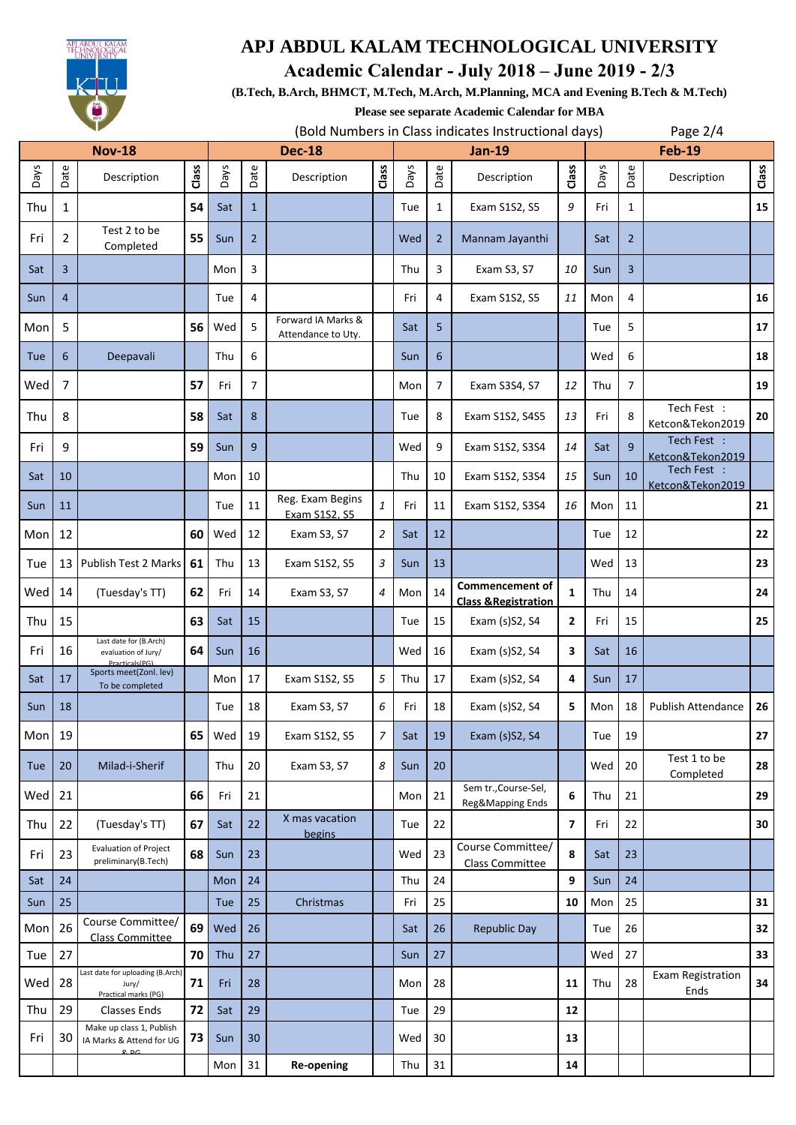

### **Academic Calendar - July 2018 – June 2019 - 2/3**

**(B.Tech, B.Arch, BHMCT, M.Tech, M.Arch, M.Planning, MCA and Evening B.Tech & M.Tech)**

**Please see separate Academic Calendar for MBA**

|               |                | ◥                                                                 |       |               |                |                                          |                  | (Bold Numbers in Class indicates Instructional days) |                |                                                           |                |               | Page $2/4$     |                                  |       |  |
|---------------|----------------|-------------------------------------------------------------------|-------|---------------|----------------|------------------------------------------|------------------|------------------------------------------------------|----------------|-----------------------------------------------------------|----------------|---------------|----------------|----------------------------------|-------|--|
| <b>Nov-18</b> |                |                                                                   |       | <b>Dec-18</b> |                |                                          |                  |                                                      |                | <b>Jan-19</b>                                             |                | <b>Feb-19</b> |                |                                  |       |  |
| Days          | Date           | Description                                                       | Class | Days          | Date           | Description                              | Class            | Days                                                 | Date           | Description                                               | Class          | Days          | Date           | Description                      | Class |  |
| Thu           | 1              |                                                                   | 54    | Sat           | $\mathbf{1}$   |                                          |                  | Tue                                                  | 1              | Exam S1S2, S5                                             | 9              | Fri           | 1              |                                  | 15    |  |
| Fri           | $\overline{2}$ | Test 2 to be<br>Completed                                         | 55    | Sun           | $\overline{2}$ |                                          |                  | Wed                                                  | $\overline{2}$ | Mannam Jayanthi                                           |                | Sat           | $\overline{2}$ |                                  |       |  |
| Sat           | 3              |                                                                   |       | Mon           | 3              |                                          |                  | Thu                                                  | 3              | Exam S3, S7                                               | 10             | Sun           | $\overline{3}$ |                                  |       |  |
| Sun           | $\overline{4}$ |                                                                   |       | Tue           | 4              |                                          |                  | Fri                                                  | 4              | Exam S1S2, S5                                             | 11             | Mon           | 4              |                                  | 16    |  |
| Mon           | 5              |                                                                   | 56    | Wed           | 5              | Forward IA Marks &<br>Attendance to Uty. |                  | Sat                                                  | 5              |                                                           |                | Tue           | 5              |                                  | 17    |  |
| Tue           | 6              | Deepavali                                                         |       | Thu           | 6              |                                          |                  | Sun                                                  | 6              |                                                           |                | Wed           | 6              |                                  | 18    |  |
| Wed           | 7              |                                                                   | 57    | Fri           | 7              |                                          |                  | Mon                                                  | 7              | Exam S3S4, S7                                             | 12             | Thu           | 7              |                                  | 19    |  |
| Thu           | 8              |                                                                   | 58    | Sat           | 8              |                                          |                  | Tue                                                  | 8              | Exam S1S2, S4S5                                           | 13             | Fri           | 8              | Tech Fest :<br>Ketcon&Tekon2019  | 20    |  |
| Fri           | 9              |                                                                   | 59    | Sun           | 9              |                                          |                  | Wed                                                  | 9              | Exam S1S2, S3S4                                           | 14             | Sat           | $\mathbf{q}$   | Tech Fest :<br>Ketcon&Tekon2019  |       |  |
| Sat           | 10             |                                                                   |       | Mon           | 10             |                                          |                  | Thu                                                  | 10             | Exam S1S2, S3S4                                           | 15             | Sun           | 10             | Tech Fest :<br>Ketcon&Tekon2019  |       |  |
| Sun           | 11             |                                                                   |       | Tue           | 11             | Reg. Exam Begins<br>Exam S1S2, S5        | $\mathbf{1}$     | Fri                                                  | 11             | Exam S1S2, S3S4                                           | 16             | Mon           | 11             |                                  | 21    |  |
| Mon           | 12             |                                                                   | 60    | Wed           | 12             | Exam S3, S7                              | 2                | Sat                                                  | 12             |                                                           |                | Tue           | 12             |                                  | 22    |  |
| Tue           | 13             | Publish Test 2 Marks                                              | 61    | Thu           | 13             | Exam S1S2, S5                            | 3                | Sun                                                  | 13             |                                                           |                | Wed           | 13             |                                  | 23    |  |
| Wed           | 14             | (Tuesday's TT)                                                    | 62    | Fri           | 14             | Exam S3, S7                              | 4                | Mon                                                  | 14             | <b>Commencement of</b><br><b>Class &amp; Registration</b> | $\mathbf{1}$   | Thu           | 14             |                                  | 24    |  |
| Thu           | 15             |                                                                   | 63    | Sat           | 15             |                                          |                  | Tue                                                  | 15             | Exam (s)S2, S4                                            | 2              | Fri           | 15             |                                  | 25    |  |
| Fri           | 16             | Last date for (B.Arch)<br>evaluation of Jury/<br>Practicals(PG)   | 64    | Sun           | 16             |                                          |                  | Wed                                                  | 16             | Exam (s)S2, S4                                            | 3              | Sat           | 16             |                                  |       |  |
| Sat           | 17             | Sports meet(Zonl. lev)<br>To be completed                         |       | Mon           | 17             | Exam S1S2, S5                            | 5                | Thu                                                  | 17             | Exam (s)S2, S4                                            | 4              | Sun           | 17             |                                  |       |  |
| Sun           | 18             |                                                                   |       | Tue           | 18             | Exam S3, S7                              | 6                | Fri                                                  | 18             | Exam (s)S2, S4                                            | 5              | Mon           | 18             | Publish Attendance               | 26    |  |
| Mon 19        |                |                                                                   | 65    | Wed           | 19             | Exam S1S2, S5                            | 7                | Sat                                                  | 19             | Exam (s)S2, S4                                            |                | Tue           | 19             |                                  | 27    |  |
| Tue           | 20             | Milad-i-Sherif                                                    |       | Thu           | 20             | Exam S3, S7                              | $\boldsymbol{8}$ | Sun                                                  | 20             |                                                           |                | Wed           | 20             | Test 1 to be<br>Completed        | 28    |  |
| Wed           | 21             |                                                                   | 66    | Fri           | 21             |                                          |                  | Mon                                                  | 21             | Sem tr., Course-Sel,<br>Reg&Mapping Ends                  | 6              | Thu           | 21             |                                  | 29    |  |
| Thu           | 22             | (Tuesday's TT)                                                    | 67    | Sat           | 22             | X mas vacation<br>begins                 |                  | Tue                                                  | 22             |                                                           | $\overline{ }$ | Fri           | 22             |                                  | 30    |  |
| Fri           | 23             | <b>Evaluation of Project</b><br>preliminary(B.Tech)               | 68    | Sun           | 23             |                                          |                  | Wed                                                  | 23             | Course Committee/<br>Class Committee                      | 8              | Sat           | 23             |                                  |       |  |
| Sat           | 24             |                                                                   |       | Mon           | 24             |                                          |                  | Thu                                                  | 24             |                                                           | 9              | Sun           | 24             |                                  |       |  |
| Sun           | 25             |                                                                   |       | Tue           | 25             | Christmas                                |                  | Fri                                                  | 25             |                                                           | 10             | Mon           | 25             |                                  | 31    |  |
| Mon           | 26             | Course Committee/<br><b>Class Committee</b>                       | 69    | Wed           | 26             |                                          |                  | Sat                                                  | 26             | <b>Republic Day</b>                                       |                | Tue           | 26             |                                  | 32    |  |
| Tue           | 27             |                                                                   | 70    | Thu           | 27             |                                          |                  | Sun                                                  | 27             |                                                           |                | Wed           | 27             |                                  | 33    |  |
| Wed 28        |                | Last date for uploading (B.Arch)<br>Jury/<br>Practical marks (PG) | 71    | Fri           | 28             |                                          |                  | Mon                                                  | 28             |                                                           | 11             | Thu           | 28             | <b>Exam Registration</b><br>Ends | 34    |  |
| Thu           | 29             | <b>Classes Ends</b>                                               | 72    | Sat           | 29             |                                          |                  | Tue                                                  | 29             |                                                           | 12             |               |                |                                  |       |  |
| Fri           | 30             | Make up class 1, Publish<br>IA Marks & Attend for UG<br>Q, DC     | 73    | Sun           | 30             |                                          |                  | Wed                                                  | 30             |                                                           | 13             |               |                |                                  |       |  |
|               |                |                                                                   |       | Mon           | 31             | <b>Re-opening</b>                        |                  | Thu                                                  | 31             |                                                           | ${\bf 14}$     |               |                |                                  |       |  |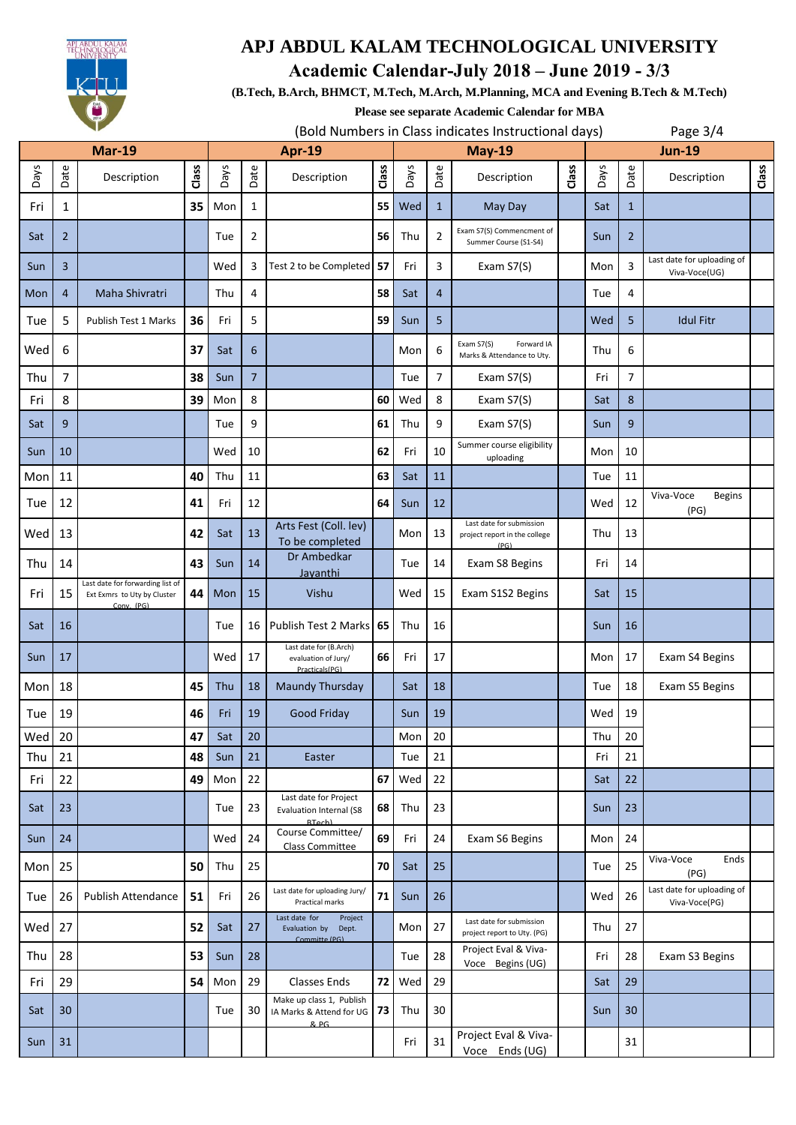

**Academic Calendar-July 2018 – June 2019 - 3/3**

**(B.Tech, B.Arch, BHMCT, M.Tech, M.Arch, M.Planning, MCA and Evening B.Tech & M.Tech)**

**Please see separate Academic Calendar for MBA**

|               |                | ◥                                                                             |       |               |                |                                                                         |       |          | (Bold Numbers in Class indicates Instructional days) |                                                                   |       |               | Page $3/4$     |                                             |       |  |
|---------------|----------------|-------------------------------------------------------------------------------|-------|---------------|----------------|-------------------------------------------------------------------------|-------|----------|------------------------------------------------------|-------------------------------------------------------------------|-------|---------------|----------------|---------------------------------------------|-------|--|
| <b>Mar-19</b> |                |                                                                               |       | <b>Apr-19</b> |                |                                                                         |       | $May-19$ |                                                      |                                                                   |       | <b>Jun-19</b> |                |                                             |       |  |
| Days          | Date           | Description                                                                   | Class | Days          | Date           | Description                                                             | Class | Days     | Date                                                 | Description                                                       | Class | Days          | Date           | Description                                 | Class |  |
| Fri           | 1              |                                                                               | 35    | Mon           | $\mathbf{1}$   |                                                                         | 55    | Wed      | $\mathbf{1}$                                         | May Day                                                           |       | Sat           | $\mathbf{1}$   |                                             |       |  |
| Sat           | $\overline{2}$ |                                                                               |       | Tue           | $\overline{2}$ |                                                                         | 56    | Thu      | $\overline{2}$                                       | Exam S7(S) Commencment of<br>Summer Course (S1-S4)                |       | Sun           | $\overline{2}$ |                                             |       |  |
| Sun           | 3              |                                                                               |       | Wed           | 3              | Test 2 to be Completed                                                  | 57    | Fri      | 3                                                    | Exam S7(S)                                                        |       | Mon           | 3              | Last date for uploading of<br>Viva-Voce(UG) |       |  |
| Mon           | $\overline{4}$ | Maha Shivratri                                                                |       | Thu           | 4              |                                                                         | 58    | Sat      | $\overline{4}$                                       |                                                                   |       | Tue           | 4              |                                             |       |  |
| Tue           | 5              | Publish Test 1 Marks                                                          | 36    | Fri           | 5              |                                                                         | 59    | Sun      | 5                                                    |                                                                   |       | Wed           | 5              | <b>Idul Fitr</b>                            |       |  |
| Wed           | 6              |                                                                               | 37    | Sat           | 6              |                                                                         |       | Mon      | 6                                                    | Exam S7(S)<br>Forward IA<br>Marks & Attendance to Uty.            |       | Thu           | 6              |                                             |       |  |
| Thu           | 7              |                                                                               | 38    | Sun           | $\overline{7}$ |                                                                         |       | Tue      | 7                                                    | Exam S7(S)                                                        |       | Fri           | 7              |                                             |       |  |
| Fri           | 8              |                                                                               | 39    | Mon           | 8              |                                                                         | 60    | Wed      | 8                                                    | Exam S7(S)                                                        |       | Sat           | 8              |                                             |       |  |
| Sat           | 9              |                                                                               |       | Tue           | 9              |                                                                         | 61    | Thu      | 9                                                    | Exam S7(S)                                                        |       | Sun           | 9              |                                             |       |  |
| Sun           | 10             |                                                                               |       | Wed           | 10             |                                                                         | 62    | Fri      | 10                                                   | Summer course eligibility<br>uploading                            |       | Mon           | 10             |                                             |       |  |
| Mon           | 11             |                                                                               | 40    | Thu           | 11             |                                                                         | 63    | Sat      | 11                                                   |                                                                   |       | Tue           | 11             |                                             |       |  |
| Tue           | 12             |                                                                               | 41    | Fri           | 12             |                                                                         | 64    | Sun      | 12                                                   |                                                                   |       | Wed           | 12             | Viva-Voce<br><b>Begins</b><br>(PG)          |       |  |
| Wed           | 13             |                                                                               | 42    | Sat           | 13             | Arts Fest (Coll. lev)<br>To be completed                                |       | Mon      | 13                                                   | Last date for submission<br>project report in the college<br>(PG) |       | Thu           | 13             |                                             |       |  |
| Thu           | 14             |                                                                               | 43    | Sun           | 14             | Dr Ambedkar<br>Jayanthi                                                 |       | Tue      | 14                                                   | Exam S8 Begins                                                    |       | Fri           | 14             |                                             |       |  |
| Fri           | 15             | Last date for forwarding list of<br>Ext Exmrs to Uty by Cluster<br>Conv. (PG) | 44    | Mon           | 15             | Vishu                                                                   |       | Wed      | 15                                                   | Exam S1S2 Begins                                                  |       | Sat           | 15             |                                             |       |  |
| Sat           | 16             |                                                                               |       | Tue           | 16             | Publish Test 2 Marks                                                    | 65    | Thu      | 16                                                   |                                                                   |       | Sun           | 16             |                                             |       |  |
| Sun           | 17             |                                                                               |       | Wed           | 17             | Last date for (B.Arch)<br>evaluation of Jury/<br>Practicals(PG)         | 66    | Fri      | 17                                                   |                                                                   |       | Mon           | 17             | Exam S4 Begins                              |       |  |
| Mon           | 18             |                                                                               | 45    | Thu           | 18             | Maundy Thursday                                                         |       | Sat      | 18                                                   |                                                                   |       | Tue           | 18             | Exam S5 Begins                              |       |  |
| Tue           | 19             |                                                                               | 46    | Fri           | 19             | Good Friday                                                             |       | Sun      | 19                                                   |                                                                   |       | Wed           | 19             |                                             |       |  |
| Wed           | 20             |                                                                               | 47    | Sat           | 20             |                                                                         |       | Mon      | 20                                                   |                                                                   |       | Thu           | 20             |                                             |       |  |
| Thu           | 21             |                                                                               | 48    | Sun           | 21             | Easter                                                                  |       | Tue      | 21                                                   |                                                                   |       | Fri           | 21             |                                             |       |  |
| Fri           | 22             |                                                                               | 49    | Mon           | 22             |                                                                         | 67    | Wed      | 22                                                   |                                                                   |       | Sat           | 22             |                                             |       |  |
| Sat           | 23             |                                                                               |       | Tue           | 23             | Last date for Project<br><b>Evaluation Internal (S8</b><br><b>RTach</b> | 68    | Thu      | 23                                                   |                                                                   |       | Sun           | 23             |                                             |       |  |
| Sun           | 24             |                                                                               |       | Wed           | 24             | Course Committee/<br>Class Committee                                    | 69    | Fri      | 24                                                   | Exam S6 Begins                                                    |       | Mon           | 24             |                                             |       |  |
| Mon           | 25             |                                                                               | 50    | Thu           | 25             |                                                                         | 70    | Sat      | 25                                                   |                                                                   |       | Tue           | 25             | Viva-Voce<br>Ends<br>(PG)                   |       |  |
| Tue           | 26             | Publish Attendance                                                            | 51    | Fri           | 26             | Last date for uploading Jury/<br>Practical marks                        | 71    | Sun      | 26                                                   |                                                                   |       | Wed           | 26             | Last date for uploading of<br>Viva-Voce(PG) |       |  |
| Wed           | 27             |                                                                               | 52    | Sat           | 27             | Last date for<br>Project<br>Evaluation by<br>Dept.<br>Committe (PG)     |       | Mon      | 27                                                   | Last date for submission<br>project report to Uty. (PG)           |       | Thu           | 27             |                                             |       |  |
| Thu           | 28             |                                                                               | 53    | Sun           | 28             |                                                                         |       | Tue      | 28                                                   | Project Eval & Viva-<br>Voce Begins (UG)                          |       | Fri           | 28             | Exam S3 Begins                              |       |  |
| Fri           | 29             |                                                                               | 54    | Mon           | 29             | <b>Classes Ends</b>                                                     | 72    | Wed      | 29                                                   |                                                                   |       | Sat           | 29             |                                             |       |  |
| Sat           | 30             |                                                                               |       | Tue           | 30             | Make up class 1, Publish<br>IA Marks & Attend for UG<br>$R$ , $DG$      | 73    | Thu      | 30                                                   |                                                                   |       | Sun           | 30             |                                             |       |  |
| Sun           | 31             |                                                                               |       |               |                |                                                                         |       | Fri      | 31                                                   | Project Eval & Viva-<br>Voce Ends (UG)                            |       |               | 31             |                                             |       |  |